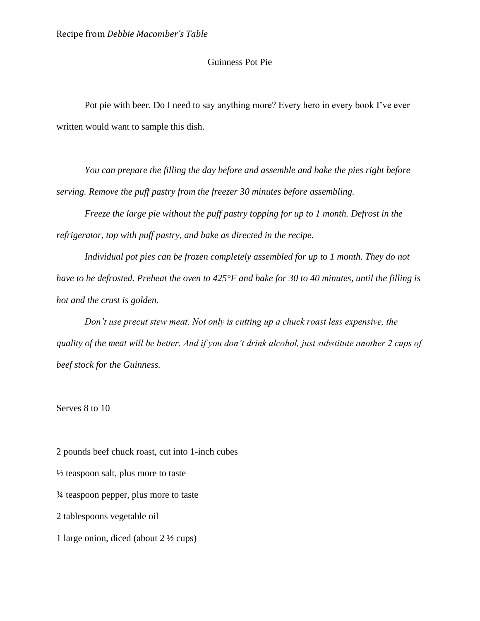## Guinness Pot Pie

Pot pie with beer. Do I need to say anything more? Every hero in every book I've ever written would want to sample this dish.

*You can prepare the filling the day before and assemble and bake the pies right before serving. Remove the puff pastry from the freezer 30 minutes before assembling.*

*Freeze the large pie without the puff pastry topping for up to 1 month. Defrost in the refrigerator, top with puff pastry, and bake as directed in the recipe.* 

*Individual pot pies can be frozen completely assembled for up to 1 month. They do not have to be defrosted. Preheat the oven to 425°F and bake for 30 to 40 minutes, until the filling is hot and the crust is golden.*

*Don't use precut stew meat. Not only is cutting up a chuck roast less expensive, the quality of the meat will be better. And if you don't drink alcohol, just substitute another 2 cups of beef stock for the Guinness.*

## Serves 8 to 10

2 pounds beef chuck roast, cut into 1-inch cubes  $\frac{1}{2}$  teaspoon salt, plus more to taste ¾ teaspoon pepper, plus more to taste 2 tablespoons vegetable oil 1 large onion, diced (about 2 ½ cups)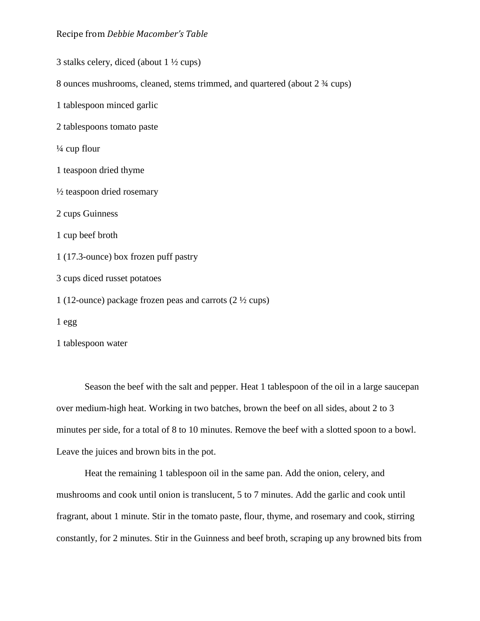Recipe from *Debbie Macomber's Table*

3 stalks celery, diced (about 1 ½ cups) 8 ounces mushrooms, cleaned, stems trimmed, and quartered (about 2 ¾ cups) 1 tablespoon minced garlic 2 tablespoons tomato paste ¼ cup flour 1 teaspoon dried thyme ½ teaspoon dried rosemary 2 cups Guinness 1 cup beef broth 1 (17.3-ounce) box frozen puff pastry 3 cups diced russet potatoes 1 (12-ounce) package frozen peas and carrots (2 ½ cups) 1 egg 1 tablespoon water

Season the beef with the salt and pepper. Heat 1 tablespoon of the oil in a large saucepan over medium-high heat. Working in two batches, brown the beef on all sides, about 2 to 3 minutes per side, for a total of 8 to 10 minutes. Remove the beef with a slotted spoon to a bowl. Leave the juices and brown bits in the pot.

Heat the remaining 1 tablespoon oil in the same pan. Add the onion, celery, and mushrooms and cook until onion is translucent, 5 to 7 minutes. Add the garlic and cook until fragrant, about 1 minute. Stir in the tomato paste, flour, thyme, and rosemary and cook, stirring constantly, for 2 minutes. Stir in the Guinness and beef broth, scraping up any browned bits from